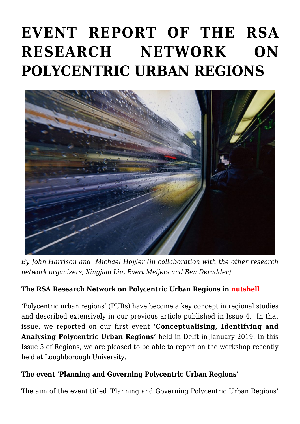# **[EVENT REPORT OF THE RSA](https://regions.regionalstudies.org/ezine/article/event-report-of-the-rsa-research-network-on-polycentric-urban-regions-at-at-loughborough-university/) [RESEARCH NETWORK ON](https://regions.regionalstudies.org/ezine/article/event-report-of-the-rsa-research-network-on-polycentric-urban-regions-at-at-loughborough-university/) [POLYCENTRIC URBAN REGIONS](https://regions.regionalstudies.org/ezine/article/event-report-of-the-rsa-research-network-on-polycentric-urban-regions-at-at-loughborough-university/)**



*By [John Harrison](https://www.lboro.ac.uk/departments/geography/staff/john-harrison/) and [Michael Hoyler](https://www.lboro.ac.uk/departments/geography/staff/michael-hoyler/) (in collaboration with the other research network organizers, [Xingjian Liu,](https://www.arch.hku.hk/staff/upad/liu-xingjian/) [Evert Meijers](http://evertmeijers.com/) and [Ben Derudder\)](https://www.lboro.ac.uk/gawc/Derudder.html)*.

## **The RSA Research Network on Polycentric Urban Regions in nutshell**

['Polycentric urban regions'](https://www.regionalstudies.org/networks/regional-studies-association-research-network-on-polycentric-urban-regions/) (PURs) have become a key concept in regional studies and described extensively in our [previous article](https://regions.regionalstudies.org/ezine/article/report-on-the-research-network-event-of-the-research-network-polycentric-urban-regions/) published in Issue 4. In that issue, we reported on our first event **'Conceptualising, Identifying and Analysing Polycentric Urban Regions'** held in Delft in January 2019. In this Issue 5 of Regions, we are pleased to be able to report on the workshop recently held at [Loughborough University](https://www.lboro.ac.uk/).

#### **The event 'Planning and Governing Polycentric Urban Regions'**

The aim of the event titled 'Planning and Governing Polycentric Urban Regions'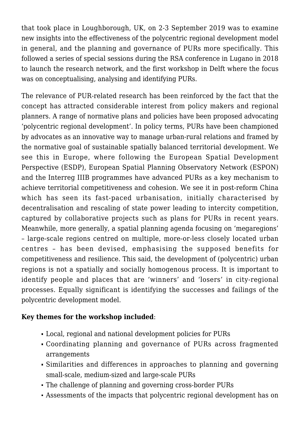that took place in Loughborough, UK, on 2-3 September 2019 was to examine new insights into the effectiveness of the polycentric regional development model in general, and the planning and governance of PURs more specifically. This followed a series of special sessions during the RSA conference in Lugano in 2018 to launch the research network, and the first workshop in [Delft](https://regions.regionalstudies.org/ezine/article/report-on-the-research-network-event-of-the-research-network-polycentric-urban-regions/) where the focus was on conceptualising, analysing and identifying PURs.

The relevance of PUR-related research has been reinforced by the fact that the concept has attracted considerable interest from policy makers and regional planners. A range of normative plans and policies have been proposed advocating 'polycentric regional development'. In policy terms, PURs have been championed by advocates as an innovative way to manage urban-rural relations and framed by the normative goal of sustainable spatially balanced territorial development. We see this in Europe, where following the [European Spatial Development](https://ec.europa.eu/regional_policy/sources/docoffic/official/reports/pdf/sum_en.pdf) [Perspective](https://ec.europa.eu/regional_policy/sources/docoffic/official/reports/pdf/sum_en.pdf) (ESDP), [European Spatial Planning Observatory Network](https://www.espon.eu/) (ESPON) and the [Interreg IIIB](https://www.welcomeurope.com/european-funds/interreg-iii-482+382.html#tab=onglet_details) programmes have advanced PURs as a key mechanism to achieve territorial competitiveness and cohesion. We see it in post-reform China which has seen its fast-paced urbanisation, initially characterised by decentralisation and rescaling of state power leading to intercity competition, captured by collaborative projects such as plans for PURs in recent years. Meanwhile, more generally, a spatial planning agenda focusing on 'megaregions' – large-scale regions centred on multiple, more-or-less closely located urban centres – has been devised, emphasising the supposed benefits for competitiveness and resilience. This said, the development of (polycentric) urban regions is not a spatially and socially homogenous process. It is important to identify people and places that are 'winners' and 'losers' in city-regional processes. Equally significant is identifying the successes and failings of the polycentric development model.

#### **Key themes for the workshop included**:

- Local, regional and national development policies for PURs
- Coordinating planning and governance of PURs across fragmented arrangements
- Similarities and differences in approaches to planning and governing small-scale, medium-sized and large-scale PURs
- The challenge of planning and governing cross-border PURs
- Assessments of the impacts that polycentric regional development has on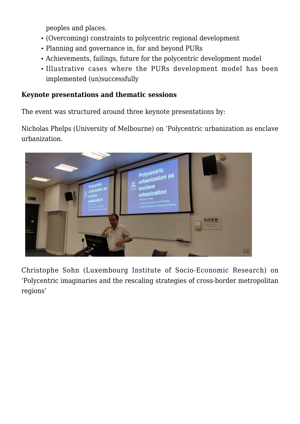peoples and places.

- (Overcoming) constraints to polycentric regional development
- Planning and governance in, for and beyond PURs
- Achievements, failings, future for the polycentric development model
- Illustrative cases where the PURs development model has been implemented (un)successfully

### **Keynote presentations and thematic sessions**

The event was structured around three keynote presentations by:

[Nicholas Phelps \(University of Melbourne\)](https://msd.unimelb.edu.au/about/our-people/academic/nicholas-phelps) on 'Polycentric urbanization as enclave urbanization.



[Christophe Sohn \(Luxembourg Institute of Socio-Economic Research\)](https://www.liser.lu/staff/christophe-sohn/) on 'Polycentric imaginaries and the rescaling strategies of cross-border metropolitan regions'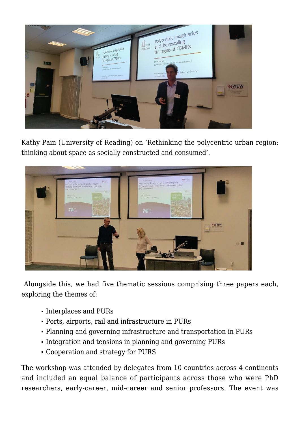

[Kathy Pain \(University of Reading\)](https://www.reading.ac.uk/search/search-staff-details.aspx?id=9586) on 'Rethinking the polycentric urban region: thinking about space as socially constructed and consumed'.



Alongside this, we had five thematic sessions comprising three papers each, exploring the themes of:

- Interplaces and PURs
- Ports, airports, rail and infrastructure in PURs
- Planning and governing infrastructure and transportation in PURs
- Integration and tensions in planning and governing PURs
- Cooperation and strategy for PURS

The workshop was attended by delegates from 10 countries across 4 continents and included an equal balance of participants across those who were PhD researchers, early-career, mid-career and senior professors. The event was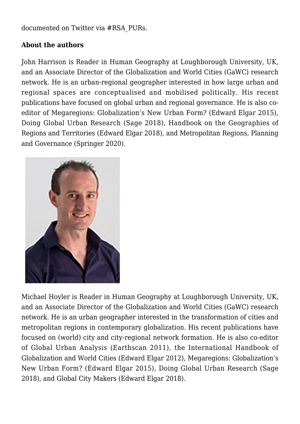documented on Twitter via [#RSA\\_PURs.](https://twitter.com/hashtag/RSA_PURs)

#### **About the authors**

[John Harrison is Reader in Human Geography at Loughborough University, UK,](https://www.lboro.ac.uk/subjects/geography-environment/staff/john-harrison/) and an Associate Director of the Globalization and World Cities (GaWC) research network. He is an urban-regional geographer interested in how large urban and regional spaces are conceptualised and mobilised politically. His recent publications have focused on global urban and regional governance. He is also coeditor of Megaregions: Globalization's New Urban Form? (Edward Elgar 2015). Doing Global Urban Research (Sage 2018), Handbook on the Geographies of Regions and Territories (Edward Elgar 2018), and Metropolitan Regions, Planning and Governance (Springer 2020).



[Michael Hoyler is Reader in Human Geography at Loughborough University](https://www.lboro.ac.uk/subjects/geography-environment/staff/michael-hoyler/), UK, and an Associate Director of the Globalization and World Cities (GaWC) research network. He is an urban geographer interested in the transformation of cities and metropolitan regions in contemporary globalization. His recent publications have focused on (world) city and city-regional network formation. He is also co-editor of Global Urban Analysis (Earthscan 2011), the International Handbook of Globalization and World Cities (Edward Elgar 2012), Megaregions: Globalization's New Urban Form? (Edward Elgar 2015), Doing Global Urban Research (Sage 2018), and Global City Makers (Edward Elgar 2018).